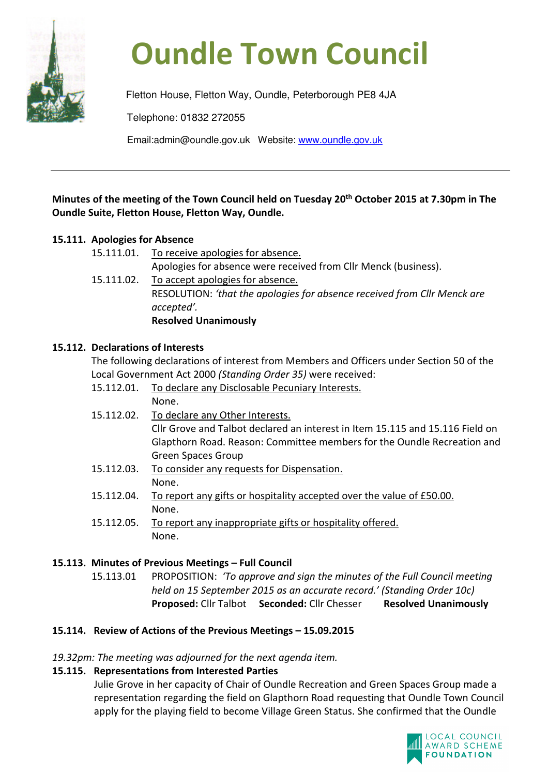

# **Oundle Town Council**

Fletton House, Fletton Way, Oundle, Peterborough PE8 4JA Telephone: 01832 272055 Email:admin@oundle.gov.uk Website: www.oundle.gov.uk

# **Minutes of the meeting of the Town Council held on Tuesday 20th October 2015 at 7.30pm in The Oundle Suite, Fletton House, Fletton Way, Oundle.**

# **15.111. Apologies for Absence**

- 15.111.01. To receive apologies for absence. Apologies for absence were received from Cllr Menck (business).
- 15.111.02. To accept apologies for absence. RESOLUTION: *'that the apologies for absence received from Cllr Menck are accepted'.*  **Resolved Unanimously**

# **15.112. Declarations of Interests**

 The following declarations of interest from Members and Officers under Section 50 of the Local Government Act 2000 *(Standing Order 35)* were received:

- 15.112.01. To declare any Disclosable Pecuniary Interests. None.
- 15.112.02. To declare any Other Interests. Cllr Grove and Talbot declared an interest in Item 15.115 and 15.116 Field on Glapthorn Road. Reason: Committee members for the Oundle Recreation and Green Spaces Group
- 15.112.03. To consider any requests for Dispensation. None.
- 15.112.04. To report any gifts or hospitality accepted over the value of £50.00. None.
- 15.112.05. To report any inappropriate gifts or hospitality offered. None.

# **15.113. Minutes of Previous Meetings – Full Council**

15.113.01 PROPOSITION: *'To approve and sign the minutes of the Full Council meeting held on 15 September 2015 as an accurate record.' (Standing Order 10c)*  **Proposed:** Cllr Talbot **Seconded:** Cllr Chesser **Resolved Unanimously** 

# **15.114. Review of Actions of the Previous Meetings – 15.09.2015**

*19.32pm: The meeting was adjourned for the next agenda item.* 

# **15.115. Representations from Interested Parties**

Julie Grove in her capacity of Chair of Oundle Recreation and Green Spaces Group made a representation regarding the field on Glapthorn Road requesting that Oundle Town Council apply for the playing field to become Village Green Status. She confirmed that the Oundle

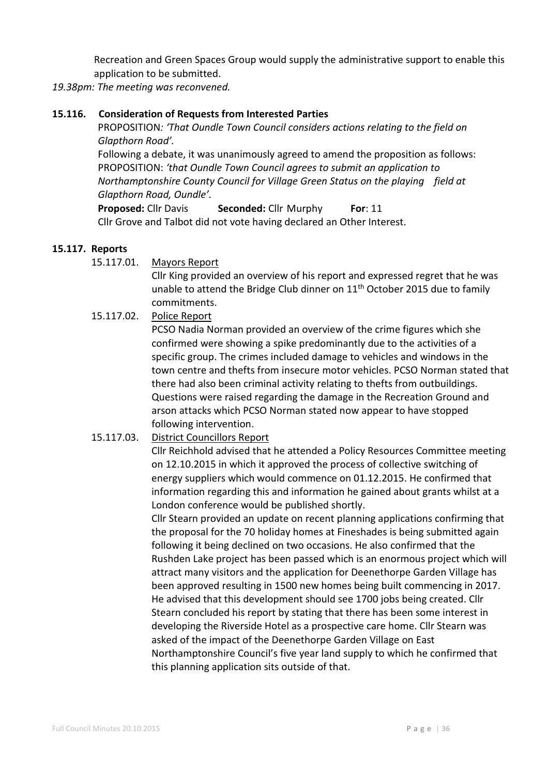Recreation and Green Spaces Group would supply the administrative support to enable this application to be submitted.

## *19.38pm: The meeting was reconvened.*

#### **15.116. Consideration of Requests from Interested Parties**

 PROPOSITION*: 'That Oundle Town Council considers actions relating to the field on Glapthorn Road'.* 

Following a debate, it was unanimously agreed to amend the proposition as follows: PROPOSITION: *'that Oundle Town Council agrees to submit an application to Northamptonshire County Council for Village Green Status on the playing field at Glapthorn Road, Oundle'.* 

**Proposed:** Cllr Davis **Seconded:** Cllr Murphy **For**: 11 Cllr Grove and Talbot did not vote having declared an Other Interest.

#### **15.117. Reports**

15.117.01. Mayors Report

Cllr King provided an overview of his report and expressed regret that he was unable to attend the Bridge Club dinner on  $11<sup>th</sup>$  October 2015 due to family commitments.

## 15.117.02. Police Report

PCSO Nadia Norman provided an overview of the crime figures which she confirmed were showing a spike predominantly due to the activities of a specific group. The crimes included damage to vehicles and windows in the town centre and thefts from insecure motor vehicles. PCSO Norman stated that there had also been criminal activity relating to thefts from outbuildings. Questions were raised regarding the damage in the Recreation Ground and arson attacks which PCSO Norman stated now appear to have stopped following intervention.

#### 15.117.03. District Councillors Report

Cllr Reichhold advised that he attended a Policy Resources Committee meeting on 12.10.2015 in which it approved the process of collective switching of energy suppliers which would commence on 01.12.2015. He confirmed that information regarding this and information he gained about grants whilst at a London conference would be published shortly.

Cllr Stearn provided an update on recent planning applications confirming that the proposal for the 70 holiday homes at Fineshades is being submitted again following it being declined on two occasions. He also confirmed that the Rushden Lake project has been passed which is an enormous project which will attract many visitors and the application for Deenethorpe Garden Village has been approved resulting in 1500 new homes being built commencing in 2017. He advised that this development should see 1700 jobs being created. Cllr Stearn concluded his report by stating that there has been some interest in developing the Riverside Hotel as a prospective care home. Cllr Stearn was asked of the impact of the Deenethorpe Garden Village on East Northamptonshire Council's five year land supply to which he confirmed that this planning application sits outside of that.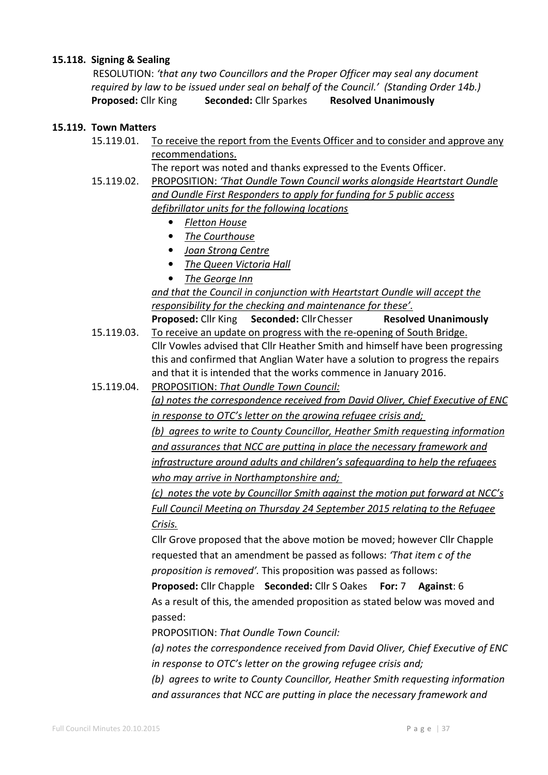#### **15.118. Signing & Sealing**

RESOLUTION: *'that any two Councillors and the Proper Officer may seal any document required by law to be issued under seal on behalf of the Council.' (Standing Order 14b.)* **Proposed:** Cllr King **Seconded:** Cllr Sparkes **Resolved Unanimously** 

## **15.119. Town Matters**

- 15.119.01. To receive the report from the Events Officer and to consider and approve any recommendations.
	- The report was noted and thanks expressed to the Events Officer.
- 15.119.02. PROPOSITION: *'That Oundle Town Council works alongside Heartstart Oundle and Oundle First Responders to apply for funding for 5 public access defibrillator units for the following locations* 
	- *Fletton House*
	- *The Courthouse*
	- *Joan Strong Centre*
	- *The Queen Victoria Hall*
	- *The George Inn*

 *and that the Council in conjunction with Heartstart Oundle will accept the responsibility for the checking and maintenance for these'.*   **Proposed:** Cllr King **Seconded:** Cllr Chesser **Resolved Unanimously**

- 15.119.03. To receive an update on progress with the re-opening of South Bridge. Cllr Vowles advised that Cllr Heather Smith and himself have been progressing this and confirmed that Anglian Water have a solution to progress the repairs and that it is intended that the works commence in January 2016.
- 15.119.04. PROPOSITION: *That Oundle Town Council: (a) notes the correspondence received from David Oliver, Chief Executive of ENC in response to OTC's letter on the growing refugee crisis and; (b) agrees to write to County Councillor, Heather Smith requesting information and assurances that NCC are putting in place the necessary framework and infrastructure around adults and children's safeguarding to help the refugees who may arrive in Northamptonshire and;*

*(c) notes the vote by Councillor Smith against the motion put forward at NCC's Full Council Meeting on Thursday 24 September 2015 relating to the Refugee Crisis.* 

Cllr Grove proposed that the above motion be moved; however Cllr Chapple requested that an amendment be passed as follows: *'That item c of the proposition is removed'.* This proposition was passed as follows:

**Proposed:** Cllr Chapple**Seconded:** Cllr S Oakes **For:** 7 **Against**: 6 As a result of this, the amended proposition as stated below was moved and passed:

PROPOSITION: *That Oundle Town Council:* 

*(a) notes the correspondence received from David Oliver, Chief Executive of ENC in response to OTC's letter on the growing refugee crisis and;* 

*(b) agrees to write to County Councillor, Heather Smith requesting information and assurances that NCC are putting in place the necessary framework and*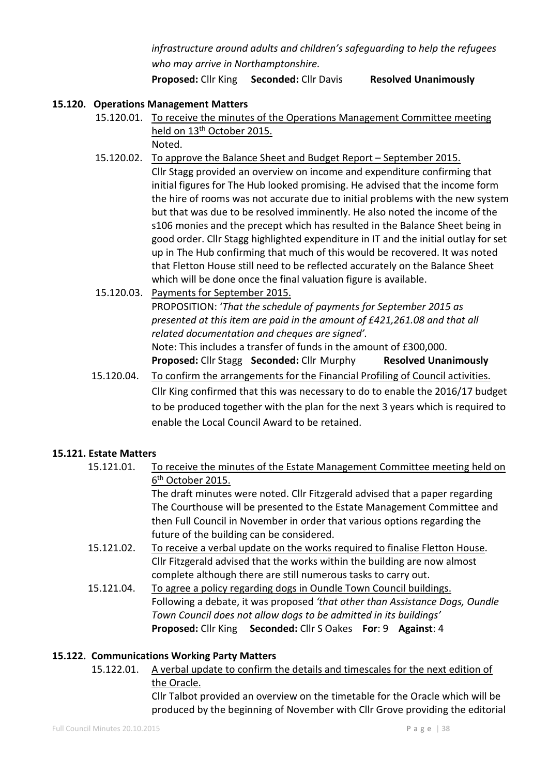*infrastructure around adults and children's safeguarding to help the refugees who may arrive in Northamptonshire.* 

**Proposed:** Cllr King **Seconded:** Cllr Davis **Resolved Unanimously** 

## **15.120. Operations Management Matters**

- 15.120.01. To receive the minutes of the Operations Management Committee meeting held on 13<sup>th</sup> October 2015. Noted.
- 15.120.02. To approve the Balance Sheet and Budget Report September 2015. Cllr Stagg provided an overview on income and expenditure confirming that initial figures for The Hub looked promising. He advised that the income form the hire of rooms was not accurate due to initial problems with the new system but that was due to be resolved imminently. He also noted the income of the s106 monies and the precept which has resulted in the Balance Sheet being in good order. Cllr Stagg highlighted expenditure in IT and the initial outlay for set up in The Hub confirming that much of this would be recovered. It was noted that Fletton House still need to be reflected accurately on the Balance Sheet which will be done once the final valuation figure is available.
- 15.120.03. Payments for September 2015. PROPOSITION: '*That the schedule of payments for September 2015 as presented at this item are paid in the amount of £421,261.08 and that all related documentation and cheques are signed'.* Note: This includes a transfer of funds in the amount of £300,000. **Proposed:** Cllr Stagg **Seconded:** Cllr Murphy **Resolved Unanimously**
- 15.120.04. To confirm the arrangements for the Financial Profiling of Council activities. Cllr King confirmed that this was necessary to do to enable the 2016/17 budget to be produced together with the plan for the next 3 years which is required to enable the Local Council Award to be retained.

#### **15.121. Estate Matters**

- 15.121.01. To receive the minutes of the Estate Management Committee meeting held on 6<sup>th</sup> October 2015. The draft minutes were noted. Cllr Fitzgerald advised that a paper regarding The Courthouse will be presented to the Estate Management Committee and then Full Council in November in order that various options regarding the future of the building can be considered.
- 15.121.02. To receive a verbal update on the works required to finalise Fletton House. Cllr Fitzgerald advised that the works within the building are now almost complete although there are still numerous tasks to carry out.
- 15.121.04. To agree a policy regarding dogs in Oundle Town Council buildings. Following a debate, it was proposed *'that other than Assistance Dogs, Oundle Town Council does not allow dogs to be admitted in its buildings'*   **Proposed:** Cllr King **Seconded:** Cllr S Oakes **For**: 9 **Against**: 4

#### **15.122. Communications Working Party Matters**

 15.122.01. A verbal update to confirm the details and timescales for the next edition of the Oracle.

 Cllr Talbot provided an overview on the timetable for the Oracle which will be produced by the beginning of November with Cllr Grove providing the editorial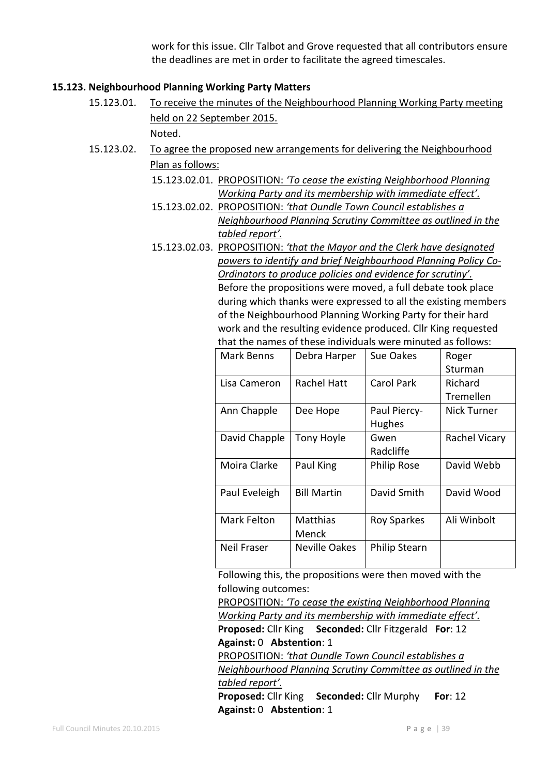work for this issue. Cllr Talbot and Grove requested that all contributors ensure the deadlines are met in order to facilitate the agreed timescales.

#### **15.123. Neighbourhood Planning Working Party Matters**

 15.123.01. To receive the minutes of the Neighbourhood Planning Working Party meeting held on 22 September 2015.

Noted.

- 15.123.02. To agree the proposed new arrangements for delivering the Neighbourhood Plan as follows:
	- 15.123.02.01. PROPOSITION: *'To cease the existing Neighborhood Planning Working Party and its membership with immediate effect'.*
	- 15.123.02.02. PROPOSITION: *'that Oundle Town Council establishes a Neighbourhood Planning Scrutiny Committee as outlined in the tabled report'.*
	- 15.123.02.03. PROPOSITION: *'that the Mayor and the Clerk have designated powers to identify and brief Neighbourhood Planning Policy Co-Ordinators to produce policies and evidence for scrutiny'.*  Before the propositions were moved, a full debate took place during which thanks were expressed to all the existing members of the Neighbourhood Planning Working Party for their hard work and the resulting evidence produced. Cllr King requested that the names of these individuals were minuted as follows:

| Mark Benns    | Debra Harper         | Sue Oakes            | Roger              |
|---------------|----------------------|----------------------|--------------------|
|               |                      |                      | Sturman            |
| Lisa Cameron  | <b>Rachel Hatt</b>   | <b>Carol Park</b>    | Richard            |
|               |                      |                      | Tremellen          |
| Ann Chapple   | Dee Hope             | Paul Piercy-         | <b>Nick Turner</b> |
|               |                      | <b>Hughes</b>        |                    |
| David Chapple | Tony Hoyle           | Gwen                 | Rachel Vicary      |
|               |                      | Radcliffe            |                    |
| Moira Clarke  | Paul King            | Philip Rose          | David Webb         |
|               |                      |                      |                    |
| Paul Eveleigh | <b>Bill Martin</b>   | David Smith          | David Wood         |
|               |                      |                      |                    |
| Mark Felton   | Matthias             | <b>Roy Sparkes</b>   | Ali Winbolt        |
|               | Menck                |                      |                    |
| Neil Fraser   | <b>Neville Oakes</b> | <b>Philip Stearn</b> |                    |
|               |                      |                      |                    |

Following this, the propositions were then moved with the following outcomes:

PROPOSITION: *'To cease the existing Neighborhood Planning Working Party and its membership with immediate effect'.*  **Proposed:** Cllr King **Seconded:** Cllr Fitzgerald **For**: 12 **Against:** 0 **Abstention**: 1

PROPOSITION: *'that Oundle Town Council establishes a Neighbourhood Planning Scrutiny Committee as outlined in the tabled report'.* 

 **Proposed:** Cllr King **Seconded:** Cllr Murphy **For**: 12 **Against:** 0 **Abstention**: 1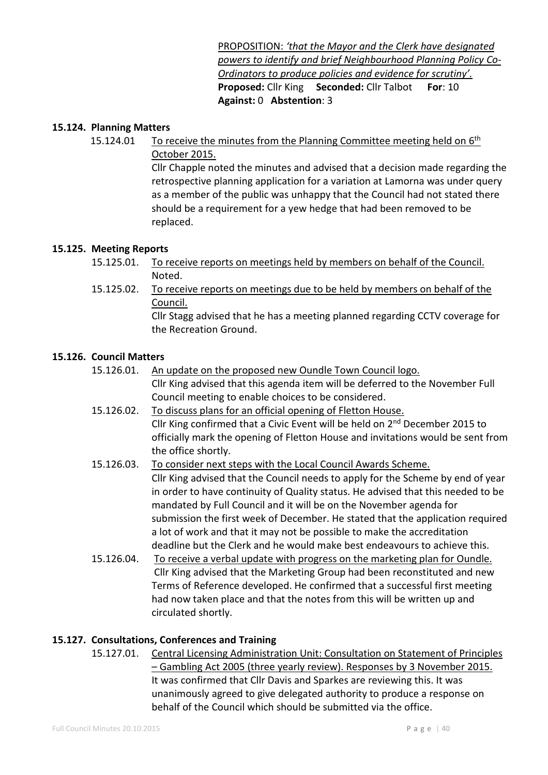PROPOSITION: *'that the Mayor and the Clerk have designated powers to identify and brief Neighbourhood Planning Policy Co-Ordinators to produce policies and evidence for scrutiny'.*  **Proposed:** Cllr King **Seconded:** Cllr Talbot **For**: 10 **Against:** 0 **Abstention**: 3

#### **15.124. Planning Matters**

15.124.01 To receive the minutes from the Planning Committee meeting held on 6<sup>th</sup> October 2015.

> Cllr Chapple noted the minutes and advised that a decision made regarding the retrospective planning application for a variation at Lamorna was under query as a member of the public was unhappy that the Council had not stated there should be a requirement for a yew hedge that had been removed to be replaced.

#### **15.125. Meeting Reports**

- 15.125.01. To receive reports on meetings held by members on behalf of the Council. Noted.
- 15.125.02. To receive reports on meetings due to be held by members on behalf of the Council.

 Cllr Stagg advised that he has a meeting planned regarding CCTV coverage for the Recreation Ground.

#### **15.126. Council Matters**

- 15.126.01. An update on the proposed new Oundle Town Council logo. Cllr King advised that this agenda item will be deferred to the November Full Council meeting to enable choices to be considered.
- 15.126.02. To discuss plans for an official opening of Fletton House. Cllr King confirmed that a Civic Event will be held on 2<sup>nd</sup> December 2015 to officially mark the opening of Fletton House and invitations would be sent from the office shortly.
- 15.126.03. To consider next steps with the Local Council Awards Scheme. Cllr King advised that the Council needs to apply for the Scheme by end of year in order to have continuity of Quality status. He advised that this needed to be mandated by Full Council and it will be on the November agenda for submission the first week of December. He stated that the application required a lot of work and that it may not be possible to make the accreditation deadline but the Clerk and he would make best endeavours to achieve this.
- 15.126.04. To receive a verbal update with progress on the marketing plan for Oundle. Cllr King advised that the Marketing Group had been reconstituted and new Terms of Reference developed. He confirmed that a successful first meeting had now taken place and that the notes from this will be written up and circulated shortly.

#### **15.127. Consultations, Conferences and Training**

 15.127.01. Central Licensing Administration Unit: Consultation on Statement of Principles – Gambling Act 2005 (three yearly review). Responses by 3 November 2015. It was confirmed that Cllr Davis and Sparkes are reviewing this. It was unanimously agreed to give delegated authority to produce a response on behalf of the Council which should be submitted via the office.